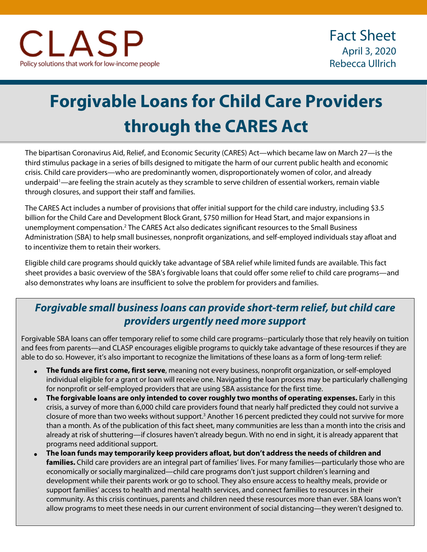# **Forgivable Loans for Child Care Providers through the CARES Act**

The bipartisan Coronavirus Aid, Relief, and Economic Security (CARES) Act—which became law on March 27—is the third stimulus package in a series of bills designed to mitigate the harm of our current public health and economic crisis. Child care providers—who are predominantly women, disproportionately women of color, and already underpaid<sup>1</sup>—are feeling the strain acutely as they scramble to serve children of essential workers, remain viable through closures, and support their staff and families.

The CARES Act includes a number of provisions that offer initial support for the child care industry, including \$3.5 billion for the Child Care and Development Block Grant, \$750 million for Head Start, and major expansions in unemployment compensation.2 The CARES Act also dedicates significant resources to the Small Business Administration (SBA) to help small businesses, nonprofit organizations, and self-employed individuals stay afloat and to incentivize them to retain their workers.

Eligible child care programs should quickly take advantage of SBA relief while limited funds are available. This fact sheet provides a basic overview of the SBA's forgivable loans that could offer some relief to child care programs—and also demonstrates why loans are insufficient to solve the problem for providers and families.

## *Forgivable small business loans can provide short-term relief, but child care providers urgently need more support*

Forgivable SBA loans can offer temporary relief to some child care programs--particularly those that rely heavily on tuition and fees from parents—and CLASP encourages eligible programs to quickly take advantage of these resources if they are able to do so. However, it's also important to recognize the limitations of these loans as a form of long-term relief:

- **The funds are first come, first serve**, meaning not every business, nonprofit organization, or self-employed individual eligible for a grant or loan will receive one. Navigating the loan process may be particularly challenging for nonprofit or self-employed providers that are using SBA assistance for the first time.
- **The forgivable loans are only intended to cover roughly two months of operating expenses.** Early in this crisis, a survey of more than 6,000 child care providers found that nearly half predicted they could not survive a closure of more than two weeks without support.3 Another 16 percent predicted they could not survive for more than a month. As of the publication of this fact sheet, many communities are less than a month into the crisis and already at risk of shuttering—if closures haven't already begun. With no end in sight, it is already apparent that programs need additional support.
- **The loan funds may temporarily keep providers afloat, but don't address the needs of children and families.** Child care providers are an integral part of families' lives. For many families—particularly those who are economically or socially marginalized—child care programs don't just support children's learning and development while their parents work or go to school. They also ensure access to healthy meals, provide or support families' access to health and mental health services, and connect families to resources in their community. As this crisis continues, parents and children need these resources more than ever. SBA loans won't allow programs to meet these needs in our current environment of social distancing—they weren't designed to.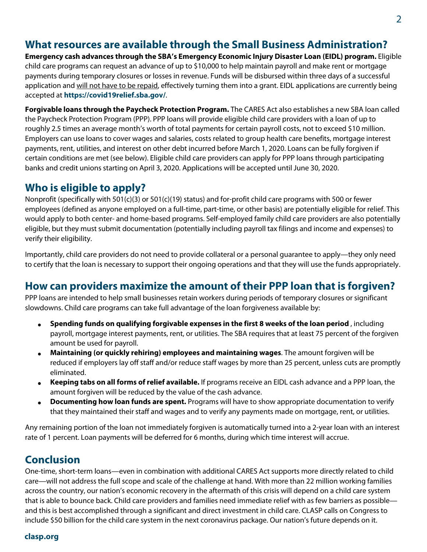#### **What resources are available through the Small Business Administration?**

**Emergency cash advances through the SBA's Emergency Economic Injury Disaster Loan (EIDL) program.** Eligible child care programs can request an advance of up to \$10,000 to help maintain payroll and make rent or mortgage payments during temporary closures or losses in revenue. Funds will be disbursed within three days of a successful application and will not have to be repaid, effectively turning them into a grant. EIDL applications are currently being accepted at **https://covid19relief.sba.gov/**.

**Forgivable loans through the Paycheck Protection Program.** The CARES Act also establishes a new SBA loan called the Paycheck Protection Program (PPP). PPP loans will provide eligible child care providers with a loan of up to roughly 2.5 times an average month's worth of total payments for certain payroll costs, not to exceed \$10 million. Employers can use loans to cover wages and salaries, costs related to group health care benefits, mortgage interest payments, rent, utilities, and interest on other debt incurred before March 1, 2020. Loans can be fully forgiven if certain conditions are met (see below). Eligible child care providers can apply for PPP loans through participating banks and credit unions starting on April 3, 2020. Applications will be accepted until June 30, 2020.

#### **Who is eligible to apply?**

Nonprofit (specifically with 501(c)(3) or 501(c)(19) status) and for-profit child care programs with 500 or fewer employees (defined as anyone employed on a full-time, part-time, or other basis) are potentially eligible for relief. This would apply to both center- and home-based programs. Self-employed family child care providers are also potentially eligible, but they must submit documentation (potentially including payroll tax filings and income and expenses) to verify their eligibility.

Importantly, child care providers do not need to provide collateral or a personal guarantee to apply—they only need to certify that the loan is necessary to support their ongoing operations and that they will use the funds appropriately.

#### **How can providers maximize the amount of their PPP loan that is forgiven?**

PPP loans are intended to help small businesses retain workers during periods of temporary closures or significant slowdowns. Child care programs can take full advantage of the loan forgiveness available by:

- **Spending funds on qualifying forgivable expenses in the first 8 weeks of the loan period** , including payroll, mortgage interest payments, rent, or utilities. The SBA requires that at least 75 percent of the forgiven amount be used for payroll.
- **Maintaining (or quickly rehiring) employees and maintaining wages**. The amount forgiven will be reduced if employers lay off staff and/or reduce staff wages by more than 25 percent, unless cuts are promptly eliminated.
- **Keeping tabs on all forms of relief available.** If programs receive an EIDL cash advance and a PPP loan, the amount forgiven will be reduced by the value of the cash advance.
- **Documenting how loan funds are spent.** Programs will have to show appropriate documentation to verify that they maintained their staff and wages and to verify any payments made on mortgage, rent, or utilities.

Any remaining portion of the loan not immediately forgiven is automatically turned into a 2-year loan with an interest rate of 1 percent. Loan payments will be deferred for 6 months, during which time interest will accrue.

#### **Conclusion**

One-time, short-term loans—even in combination with additional CARES Act supports more directly related to child care—will not address the full scope and scale of the challenge at hand. With more than 22 million working families across the country, our nation's economic recovery in the aftermath of this crisis will depend on a child care system that is able to bounce back. Child care providers and families need immediate relief with as few barriers as possible and this is best accomplished through a significant and direct investment in child care. CLASP calls on Congress to include \$50 billion for the child care system in the next coronavirus package. Our nation's future depends on it.

#### **clasp.org**